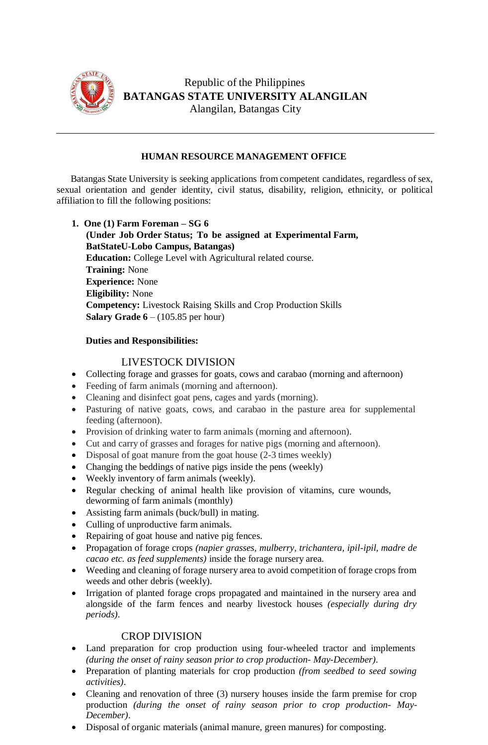

Republic of the Philippines **BATANGAS STATE UNIVERSITY ALANGILAN** Alangilan, Batangas City

## **HUMAN RESOURCE MANAGEMENT OFFICE**

Batangas State University is seeking applications from competent candidates, regardless of sex, sexual orientation and gender identity, civil status, disability, religion, ethnicity, or political affiliation to fill the following positions:

**1. One (1) Farm Foreman – SG 6 (Under Job Order Status; To be assigned at Experimental Farm, BatStateU-Lobo Campus, Batangas) Education:** College Level with Agricultural related course. **Training:** None **Experience:** None **Eligibility:** None **Competency:** Livestock Raising Skills and Crop Production Skills **Salary Grade 6** – (105.85 per hour)

### **Duties and Responsibilities:**

# LIVESTOCK DIVISION

- Collecting forage and grasses for goats, cows and carabao (morning and afternoon)
- Feeding of farm animals (morning and afternoon).
- Cleaning and disinfect goat pens, cages and yards (morning).
- Pasturing of native goats, cows, and carabao in the pasture area for supplemental feeding (afternoon).
- Provision of drinking water to farm animals (morning and afternoon).
- Cut and carry of grasses and forages for native pigs (morning and afternoon).
- Disposal of goat manure from the goat house (2-3 times weekly)
- Changing the beddings of native pigs inside the pens (weekly)
- Weekly inventory of farm animals (weekly).
- Regular checking of animal health like provision of vitamins, cure wounds, deworming of farm animals (monthly)
- Assisting farm animals (buck/bull) in mating.
- Culling of unproductive farm animals.
- Repairing of goat house and native pig fences.
- Propagation of forage crops *(napier grasses, mulberry, trichantera, ipil-ipil, madre de cacao etc. as feed supplements)* inside the forage nursery area.
- Weeding and cleaning of forage nursery area to avoid competition of forage crops from weeds and other debris (weekly).
- Irrigation of planted forage crops propagated and maintained in the nursery area and alongside of the farm fences and nearby livestock houses *(especially during dry periods)*.

# CROP DIVISION

- Land preparation for crop production using four-wheeled tractor and implements *(during the onset of rainy season prior to crop production- May-December)*.
- Preparation of planting materials for crop production *(from seedbed to seed sowing activities)*.
- Cleaning and renovation of three (3) nursery houses inside the farm premise for crop production *(during the onset of rainy season prior to crop production- May-December)*.
- Disposal of organic materials (animal manure, green manures) for composting.